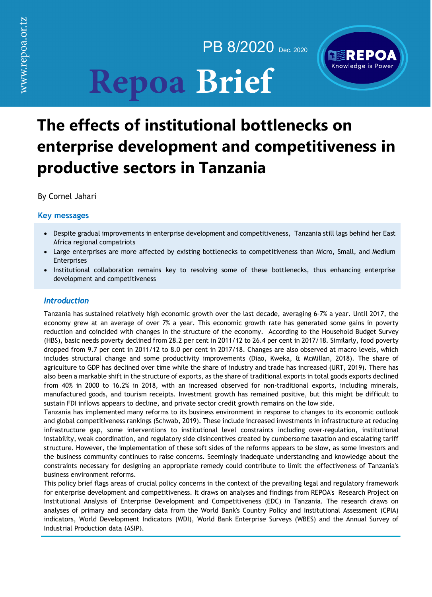www.repoa.or.tz

PB 8/2020 Dec. 2020

# **Repoa Brief**



# **The effects of institutional bottlenecks on enterprise development and competitiveness in productive sectors in Tanzania**

By Cornel Jahari

# **Key messages**

- Despite gradual improvements in enterprise development and competitiveness, Tanzania still lags behind her East Africa regional compatriots
- Large enterprises are more affected by existing bottlenecks to competitiveness than Micro, Small, and Medium Enterprises
- Institutional collaboration remains key to resolving some of these bottlenecks, thus enhancing enterprise development and competitiveness

# *Introduction*

Tanzania has sustained relatively high economic growth over the last decade, averaging 6–7% a year. Until 2017, the economy grew at an average of over 7% a year. This economic growth rate has generated some gains in poverty reduction and coincided with changes in the structure of the economy. According to the Household Budget Survey (HBS), basic needs poverty declined from 28.2 per cent in 2011/12 to 26.4 per cent in 2017/18. Similarly, food poverty dropped from 9.7 per cent in 2011/12 to 8.0 per cent in 2017/18. Changes are also observed at macro levels, which includes structural change and some productivity improvements (Diao, Kweka, & McMillan, 2018). The share of agriculture to GDP has declined over time while the share of industry and trade has increased (URT, 2019). There has also been a markable shift in the structure of exports, as the share of traditional exports in total goods exports declined from 40% in 2000 to 16.2% in 2018, with an increased observed for non-traditional exports, including minerals, manufactured goods, and tourism receipts. Investment growth has remained positive, but this might be difficult to sustain FDI inflows appears to decline, and private sector credit growth remains on the low side.

Tanzania has implemented many reforms to its business environment in response to changes to its economic outlook and global competitiveness rankings (Schwab, 2019). These include increased investments in infrastructure at reducing infrastructure gap, some interventions to institutional level constraints including over-regulation, institutional instability, weak coordination, and regulatory side disincentives created by cumbersome taxation and escalating tariff structure. However, the implementation of these soft sides of the reforms appears to be slow, as some investors and the business community continues to raise concerns. Seemingly inadequate understanding and knowledge about the constraints necessary for designing an appropriate remedy could contribute to limit the effectiveness of Tanzania's business environment reforms.

This policy brief flags areas of crucial policy concerns in the context of the prevailing legal and regulatory framework for enterprise development and competitiveness. It draws on analyses and findings from REPOA's Research Project on Institutional Analysis of Enterprise Development and Competitiveness (EDC) in Tanzania. The research draws on analyses of primary and secondary data from the World Bank's Country Policy and Institutional Assessment (CPIA) indicators, World Development Indicators (WDI), World Bank Enterprise Surveys (WBES) and the Annual Survey of Industrial Production data (ASIP).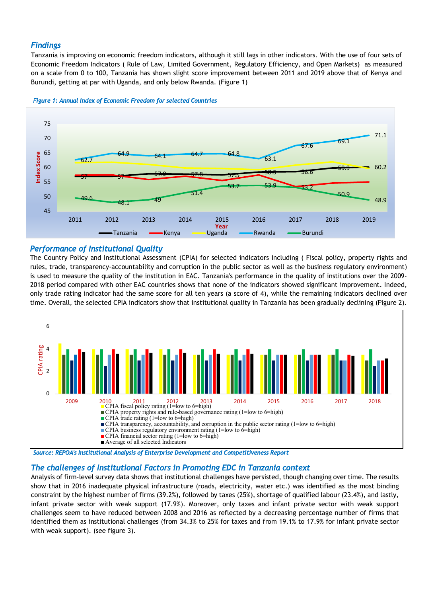# *Findings*

Tanzania is improving on economic freedom indicators, although it still lags in other indicators. With the use of four sets of Economic Freedom Indicators ( Rule of Law, Limited Government, Regulatory Efficiency, and Open Markets) as measured on a scale from 0 to 100, Tanzania has shown slight score improvement between 2011 and 2019 above that of Kenya and Burundi, getting at par with Uganda, and only below Rwanda. (Figure 1)





#### *Performance of Institutional Quality*

The Country Policy and Institutional Assessment (CPIA) for selected indicators including ( Fiscal policy, property rights and rules, trade, transparency-accountability and corruption in the public sector as well as the business regulatory environment) is used to measure the quality of the institution in EAC. Tanzania's performance in the quality of institutions over the 2009- 2018 period compared with other EAC countries shows that none of the indicators showed significant improvement. Indeed, only trade rating indicator had the same score for all ten years (a score of 4), while the remaining indicators declined over time. Overall, the selected CPIA indicators show that institutional quality in Tanzania has been gradually declining (Figure 2).



*Source: REPOA's Institutional Analysis of Enterprise Development and Competitiveness Report* 

## *The challenges of Institutional Factors in Promoting EDC in Tanzania context*

Analysis of firm-level survey data shows that institutional challenges have persisted, though changing over time. The results show that in 2016 inadequate physical infrastructure (roads, electricity, water etc.) was identified as the most binding constraint by the highest number of firms (39.2%), followed by taxes (25%), shortage of qualified labour (23.4%), and lastly, infant private sector with weak support (17.9%). Moreover, only taxes and infant private sector with weak support challenges seem to have reduced between 2008 and 2016 as reflected by a decreasing percentage number of firms that identified them as institutional challenges (from 34.3% to 25% for taxes and from 19.1% to 17.9% for infant private sector with weak support). (see figure 3).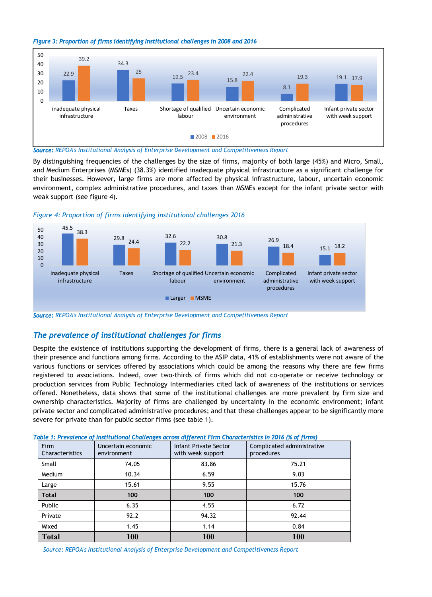



*Source: REPOA's Institutional Analysis of Enterprise Development and Competitiveness Report*

By distinguishing frequencies of the challenges by the size of firms, majority of both large (45%) and Micro, Small, and Medium Enterprises (MSMEs) (38.3%) identified inadequate physical infrastructure as a significant challenge for their businesses. However, large firms are more affected by physical infrastructure, labour, uncertain economic environment, complex administrative procedures, and taxes than MSMEs except for the infant private sector with weak support (see figure 4).





*Source: REPOA's Institutional Analysis of Enterprise Development and Competitiveness Report*

## *The prevalence of institutional challenges for firms*

Despite the existence of institutions supporting the development of firms, there is a general lack of awareness of their presence and functions among firms. According to the ASIP data, 41% of establishments were not aware of the various functions or services offered by associations which could be among the reasons why there are few firms registered to associations. Indeed, over two-thirds of firms which did not co-operate or receive technology or production services from Public Technology Intermediaries cited lack of awareness of the institutions or services offered. Nonetheless, data shows that some of the institutional challenges are more prevalent by firm size and ownership characteristics. Majority of firms are challenged by uncertainty in the economic environment; infant private sector and complicated administrative procedures; and that these challenges appear to be significantly more severe for private than for public sector firms (see table 1).

| <b>Firm</b><br>Characteristics | Uncertain economic<br>environment | Infant Private Sector<br>with weak support | Complicated administrative<br>procedures |
|--------------------------------|-----------------------------------|--------------------------------------------|------------------------------------------|
| Small                          | 74.05                             | 83.86                                      | 75.21                                    |
| Medium                         | 10.34                             | 6.59                                       | 9.03                                     |
| Large                          | 15.61                             | 9.55                                       | 15.76                                    |
| <b>Total</b>                   | 100                               | 100                                        | 100                                      |
| Public                         | 6.35                              | 4.55                                       | 6.72                                     |
| Private                        | 92.2                              | 94.32                                      | 92.44                                    |
| Mixed                          | 1.45                              | 1.14                                       | 0.84                                     |
| <b>Total</b>                   | 100                               | 100                                        | 100                                      |

*Table 1: Prevalence of Institutional Challenges across different Firm Characteristics in 2016 (% of firms)* 

*Source: REPOA's Institutional Analysis of Enterprise Development and Competitiveness Report*